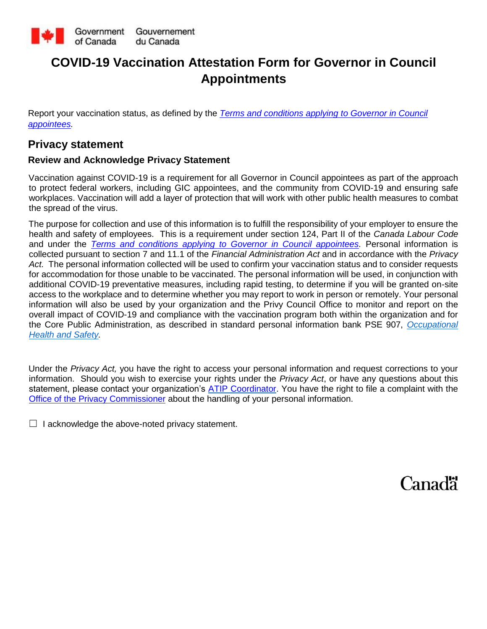

# **COVID-19 Vaccination Attestation Form for Governor in Council Appointments**

Report your vaccination status, as defined by the *[Terms and conditions applying to Governor in Council](https://www.canada.ca/en/privy-council/programs/appointments/governor-council-appointments/compensation-terms-conditions-employment/terms-conditions.html)  [appointees](https://www.canada.ca/en/privy-council/programs/appointments/governor-council-appointments/compensation-terms-conditions-employment/terms-conditions.html)[.](https://www.tbs-sct.gc.ca/pol/doc-eng.aspx?id=32694)*

### **Privacy statement**

### **Review and Acknowledge Privacy Statement**

Vaccination against COVID-19 is a requirement for all Governor in Council appointees as part of the approach to protect federal workers, including GIC appointees, and the community from COVID-19 and ensuring safe workplaces. Vaccination will add a layer of protection that will work with other public health measures to combat the spread of the virus.

The purpose for collection and use of this information is to fulfill the responsibility of your employer to ensure the health and safety of employees. This is a requirement under section 124, Part II of the *Canada Labour Code*  and under the *[Terms and conditions applying to Governor in Council appointees.](https://www.canada.ca/en/privy-council/programs/appointments/governor-council-appointments/compensation-terms-conditions-employment/terms-conditions.html)* Personal information is collected pursuant to section 7 and 11.1 of the *Financial Administration Act* and in accordance with the *Privacy Act.* The personal information collected will be used to confirm your vaccination status and to consider requests for accommodation for those unable to be vaccinated. The personal information will be used, in conjunction with additional COVID-19 preventative measures, including rapid testing, to determine if you will be granted on-site access to the workplace and to determine whether you may report to work in person or remotely. Your personal information will also be used by your organization and the Privy Council Office to monitor and report on the overall impact of COVID-19 and compliance with the vaccination program both within the organization and for the Core Public Administration, as described in standard personal information bank PSE 907, *[Occupational](https://www.canada.ca/en/treasury-board-secretariat/services/access-information-privacy/access-information/information-about-programs-information-holdings/standard-personal-information-banks.html#pse907)  [Health and Safety.](https://www.canada.ca/en/treasury-board-secretariat/services/access-information-privacy/access-information/information-about-programs-information-holdings/standard-personal-information-banks.html#pse907)*

Under the *Privacy Act,* you have the right to access your personal information and request corrections to your information. Should you wish to exercise your rights under the *Privacy Act*, or have any questions about this statement, please contact your organization's [ATIP Coordinator.](https://www.tbs-sct.gc.ca/ap/atip-aiprp/coord-eng.asp#C) You have the right to file a complaint with the [Office of the Privacy](https://www.priv.gc.ca/en/) Commissione[r](https://www.priv.gc.ca/en/) about the handling of your personal information.

 $\Box$  I acknowledge the above-noted privacy statement.

Canadä<sup>r</sup>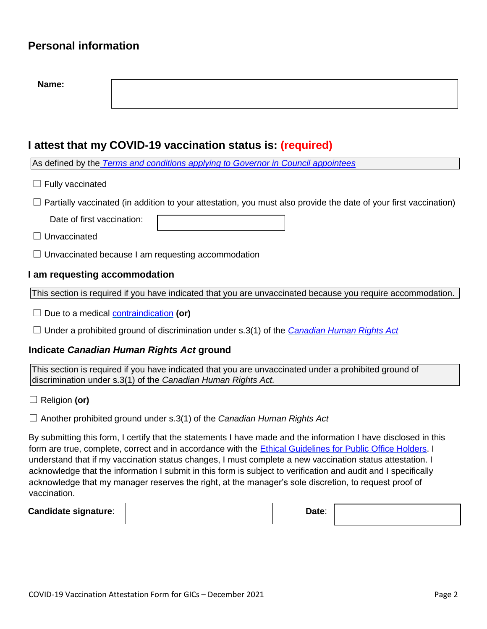### **Personal information**

| Name:                                                                                                       |                                                                                                                  |
|-------------------------------------------------------------------------------------------------------------|------------------------------------------------------------------------------------------------------------------|
|                                                                                                             |                                                                                                                  |
|                                                                                                             |                                                                                                                  |
|                                                                                                             |                                                                                                                  |
|                                                                                                             | I attest that my COVID-19 vaccination status is: (required)                                                      |
|                                                                                                             | As defined by the Terms and conditions applying to Governor in Council appointees                                |
| Fully vaccinated                                                                                            |                                                                                                                  |
|                                                                                                             | Partially vaccinated (in addition to your attestation, you must also provide the date of your first vaccination) |
| Date of first vaccination:                                                                                  |                                                                                                                  |
| Unvaccinated                                                                                                |                                                                                                                  |
| $\Box$ Unvaccinated because I am requesting accommodation                                                   |                                                                                                                  |
| I am requesting accommodation                                                                               |                                                                                                                  |
| This section is required if you have indicated that you are unvaccinated because you require accommodation. |                                                                                                                  |
|                                                                                                             | Due to a medical <b>contraindication</b> (or)                                                                    |
| Under a prohibited ground of discrimination under s.3(1) of the Canadian Human Rights Act                   |                                                                                                                  |
| Indicate Canadian Human Rights Act ground                                                                   |                                                                                                                  |

This section is required if you have indicated that you are unvaccinated under a prohibited ground of discrimination under s.3(1) of the *Canadian Human Rights Act.* 

☐ Religion **(or)** 

☐ Another prohibited ground under s.3(1) of the *Canadian Human Rights Act* 

By submitting this form, I certify that the statements I have made and the information I have disclosed in this form are true, complete, correct and in accordance with the **Ethical Guidelines for Public Office Holders**. I understand that if my vaccination status changes, I must complete a new vaccination status attestation. I acknowledge that the information I submit in this form is subject to verification and audit and I specifically acknowledge that my manager reserves the right, at the manager's sole discretion, to request proof of vaccination.

**Candidate signature:**  $\begin{vmatrix} \cdot & \cdot & \cdot \\ \cdot & \cdot & \cdot \\ \cdot & \cdot & \cdot \end{vmatrix}$  Date: